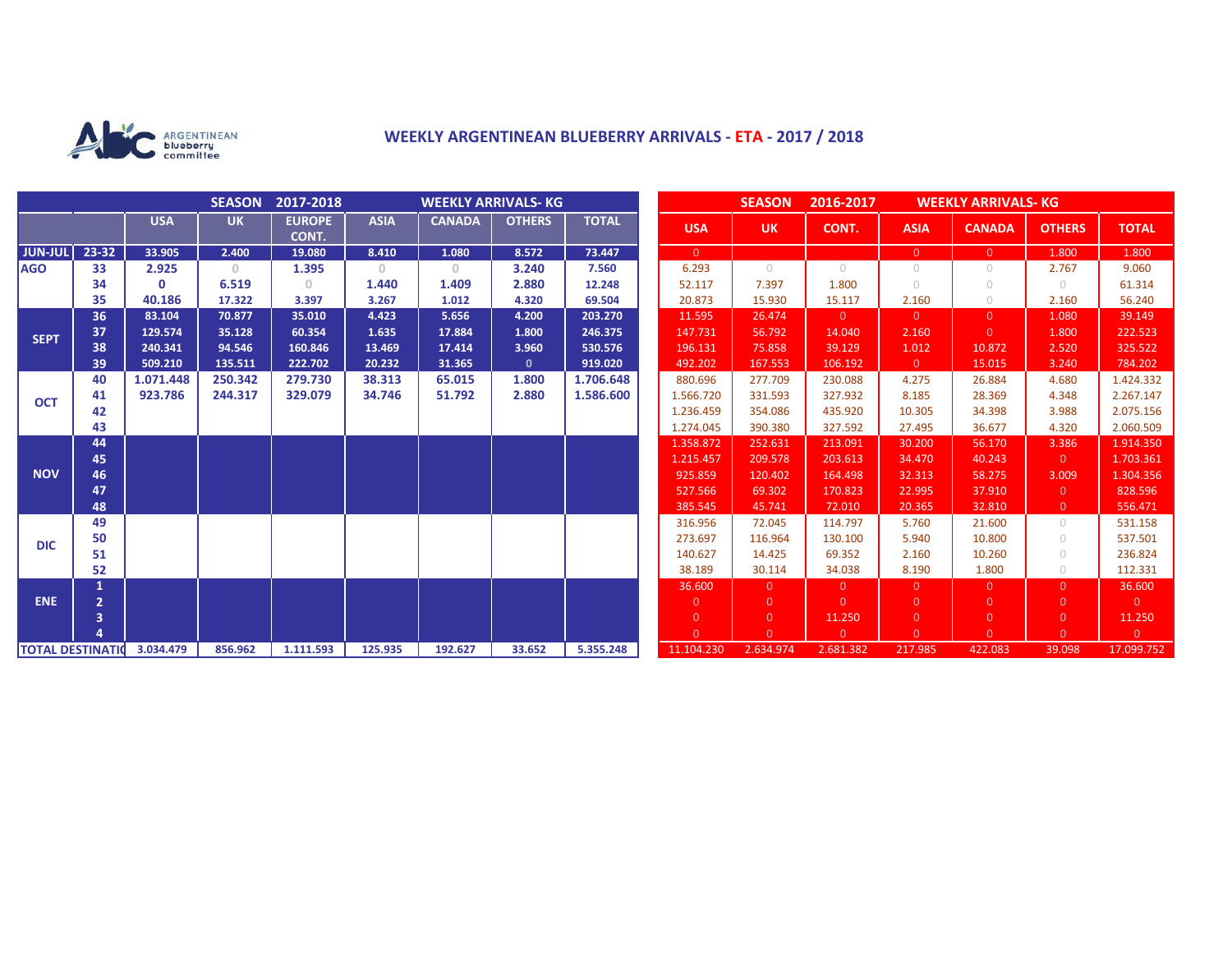

## **WEEKLY ARGENTINEAN BLUEBERRY ARRIVALS - ETA - 2017 / 2018**

|                          |                |            | <b>SEASON</b> | 2017-2018              | <b>WEEKLY ARRIVALS- KG</b> |               |               |              | <b>SEASON</b><br>2016-2017<br><b>WEEKLY ARRIVALS- KG</b> |                |                |                |                |                |                |
|--------------------------|----------------|------------|---------------|------------------------|----------------------------|---------------|---------------|--------------|----------------------------------------------------------|----------------|----------------|----------------|----------------|----------------|----------------|
|                          |                | <b>USA</b> | <b>UK</b>     | <b>EUROPE</b><br>CONT. | <b>ASIA</b>                | <b>CANADA</b> | <b>OTHERS</b> | <b>TOTAL</b> | <b>USA</b>                                               | <b>UK</b>      | CONT.          | <b>ASIA</b>    | <b>CANADA</b>  | <b>OTHERS</b>  | <b>TOTAL</b>   |
| <b>JUN-JUL</b>           | 23-32          | 33.905     | 2.400         | 19.080                 | 8.410                      | 1.080         | 8.572         | 73.447       | $\overline{0}$                                           |                |                | $\overline{0}$ | $\overline{0}$ | 1.800          | 1.800          |
| <b>AGO</b>               | 33             | 2.925      | $\mathbf{0}$  | 1.395                  | $\mathbf{0}$               | $\circ$       | 3.240         | 7.560        | 6.293                                                    | $\bigcirc$     | $\bigcirc$     | $\circ$        | $\circ$        | 2.767          | 9.060          |
|                          | 34             | $\Omega$   | 6.519         | $\Omega$               | 1.440                      | 1.409         | 2.880         | 12.248       | 52.117                                                   | 7.397          | 1.800          | $\bigcirc$     | $\cup$         | $\bigcirc$     | 61.314         |
|                          | 35             | 40.186     | 17.322        | 3.397                  | 3.267                      | 1.012         | 4.320         | 69.504       | 20.873                                                   | 15.930         | 15.117         | 2.160          | $\circ$        | 2.160          | 56.240         |
| <b>SEPT</b>              | 36             | 83.104     | 70.877        | 35.010                 | 4.423                      | 5.656         | 4.200         | 203.270      | 11.595                                                   | 26.474         | $\overline{0}$ | $\overline{0}$ | $\Omega$       | 1.080          | 39.149         |
|                          | 37             | 129.574    | 35.128        | 60.354                 | 1.635                      | 17.884        | 1.800         | 246.375      | 147.731                                                  | 56.792         | 14.040         | 2.160          | $\overline{0}$ | 1.800          | 222.523        |
|                          | 38             | 240.341    | 94.546        | 160.846                | 13.469                     | 17.414        | 3.960         | 530.576      | 196.131                                                  | 75.858         | 39.129         | 1.012          | 10.872         | 2.520          | 325.522        |
|                          | 39             | 509.210    | 135.511       | 222.702                | 20.232                     | 31.365        | $\mathbf{0}$  | 919.020      | 492.202                                                  | 167.553        | 106.192        | $\overline{0}$ | 15.015         | 3.240          | 784.202        |
| <b>OCT</b>               | 40             | 1.071.448  | 250.342       | 279.730                | 38.313                     | 65.015        | 1.800         | 1.706.648    | 880.696                                                  | 277.709        | 230.088        | 4.275          | 26.884         | 4.680          | 1.424.332      |
|                          | 41             | 923.786    | 244.317       | 329.079                | 34.746                     | 51.792        | 2.880         | 1.586.600    | 1.566.720                                                | 331.593        | 327.932        | 8.185          | 28.369         | 4.348          | 2.267.147      |
|                          | 42             |            |               |                        |                            |               |               |              | 1.236.459                                                | 354.086        | 435.920        | 10.305         | 34.398         | 3.988          | 2.075.156      |
|                          | 43             |            |               |                        |                            |               |               |              | 1.274.045                                                | 390.380        | 327.592        | 27.495         | 36.677         | 4.320          | 2.060.509      |
| <b>NOV</b>               | 44             |            |               |                        |                            |               |               |              | 1.358.872                                                | 252.631        | 213.091        | 30.200         | 56.170         | 3.386          | 1.914.350      |
|                          | 45             |            |               |                        |                            |               |               |              | 1.215.457                                                | 209.578        | 203.613        | 34.470         | 40.243         | $\overline{0}$ | 1.703.361      |
|                          | 46             |            |               |                        |                            |               |               |              | 925.859                                                  | 120.402        | 164.498        | 32.313         | 58.275         | 3.009          | 1.304.356      |
|                          | 47             |            |               |                        |                            |               |               |              | 527.566                                                  | 69.302         | 170.823        | 22.995         | 37.910         | $\overline{0}$ | 828.596        |
|                          | 48             |            |               |                        |                            |               |               |              | 385.545                                                  | 45.741         | 72.010         | 20.365         | 32.810         | $\overline{0}$ | 556.471        |
| <b>DIC</b>               | 49             |            |               |                        |                            |               |               |              | 316.956                                                  | 72.045         | 114.797        | 5.760          | 21.600         | $\circ$        | 531.158        |
|                          | 50             |            |               |                        |                            |               |               |              | 273.697                                                  | 116.964        | 130.100        | 5.940          | 10.800         | $\circ$        | 537.501        |
|                          | 51             |            |               |                        |                            |               |               |              | 140.627                                                  | 14.425         | 69.352         | 2.160          | 10.260         | $\cup$         | 236.824        |
|                          | 52             |            |               |                        |                            |               |               |              | 38.189                                                   | 30.114         | 34.038         | 8.190          | 1.800          | $\circ$        | 112.331        |
| <b>ENE</b>               |                |            |               |                        |                            |               |               |              | 36.600                                                   | $\Omega$       | $\overline{0}$ | $\overline{0}$ | $\Omega$       | $\overline{0}$ | 36.600         |
|                          | $\overline{2}$ |            |               |                        |                            |               |               |              | $\overline{0}$                                           | $\overline{0}$ | $\Omega$       | $\overline{0}$ | $\Omega$       | $\overline{0}$ | $\overline{0}$ |
|                          | 3              |            |               |                        |                            |               |               |              | $\overline{0}$                                           | $\overline{0}$ | 11.250         | $\overline{0}$ | $\overline{0}$ | $\overline{0}$ | 11.250         |
|                          |                |            |               |                        |                            |               |               |              | $\Omega$                                                 | $\Omega$       | $\overline{0}$ | $\Omega$       | $\Omega$       | $\overline{0}$ | $\overline{0}$ |
| <b>TOTAL DESTINATION</b> |                | 3.034.479  | 856.962       | 1.111.593              | 125.935                    | 192.627       | 33.652        | 5.355.248    | 11.104.230                                               | 2.634.974      | 2.681.382      | 217.985        | 422.083        | 39.098         | 17.099.752     |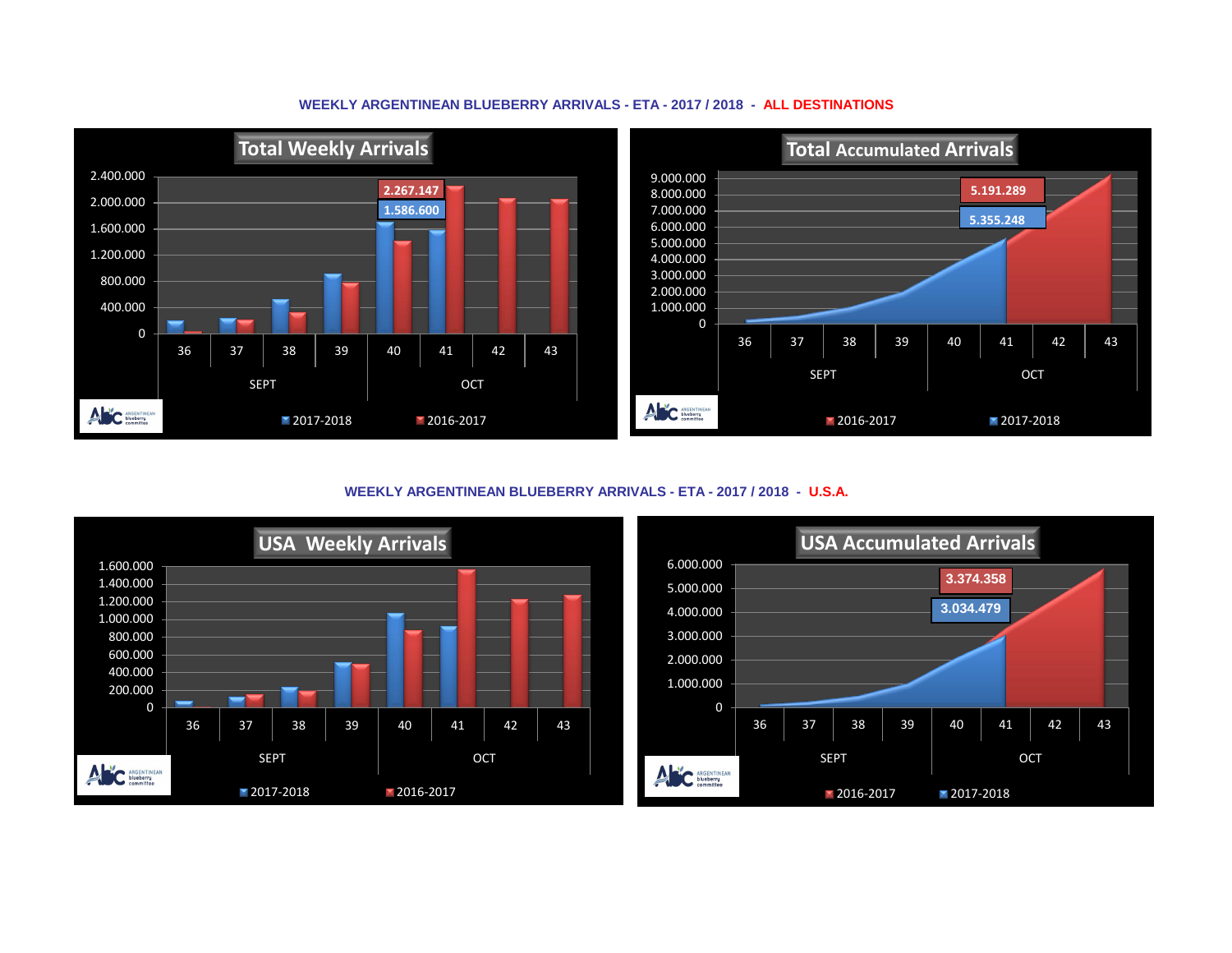## **WEEKLY ARGENTINEAN BLUEBERRY ARRIVALS - ETA - 2017 / 2018 - ALL DESTINATIONS**



**WEEKLY ARGENTINEAN BLUEBERRY ARRIVALS - ETA - 2017 / 2018 - U.S.A.**



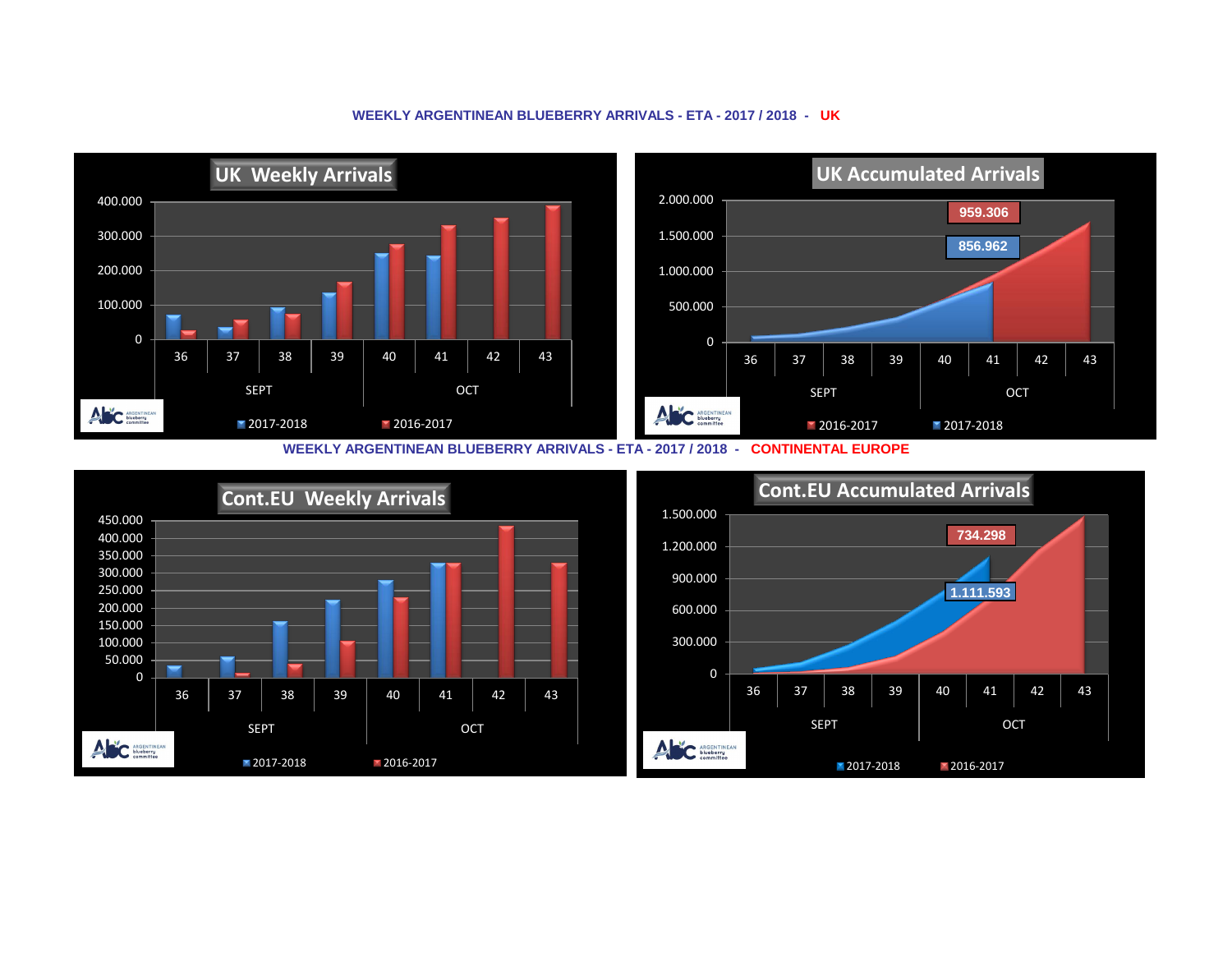

## **WEEKLY ARGENTINEAN BLUEBERRY ARRIVALS - ETA - 2017 / 2018 - UK**

**WEEKLY ARGENTINEAN BLUEBERRY ARRIVALS - ETA - 2017 / 2018 - CONTINENTAL EUROPE**